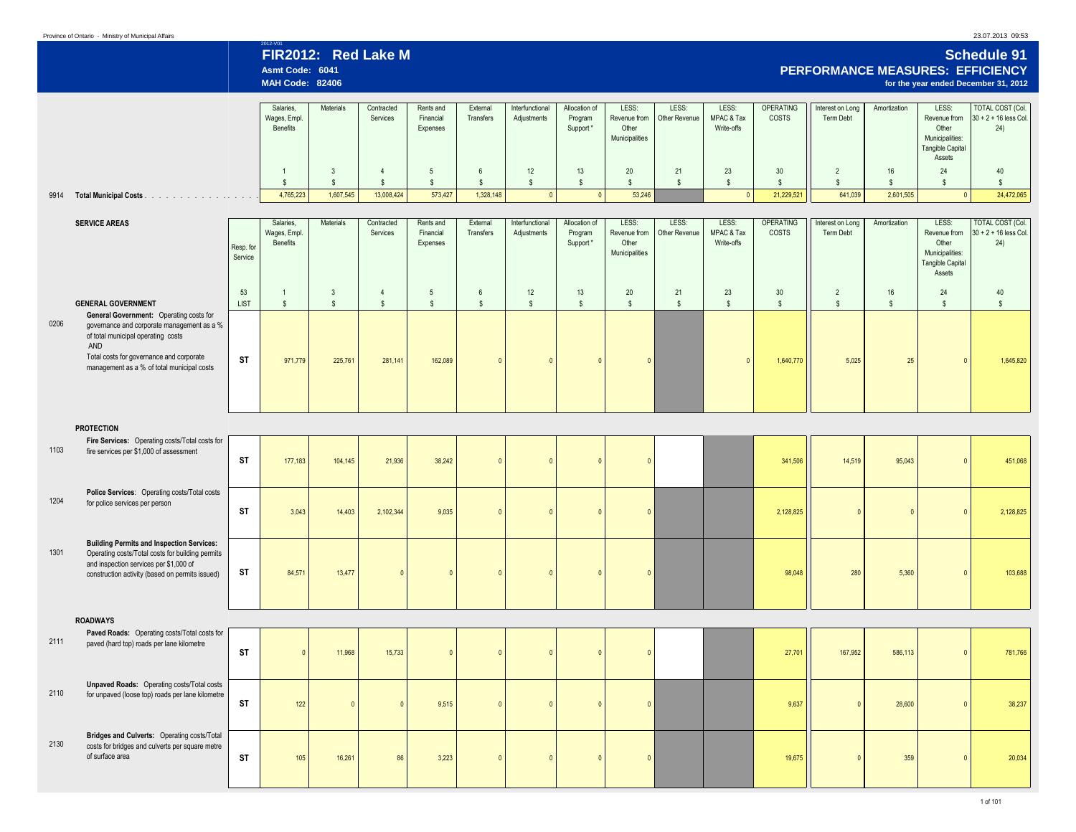## 23.07.2013 09:53

| 2012-V01            |                                                                                                                |
|---------------------|----------------------------------------------------------------------------------------------------------------|
| FIR2012: Red Lake M | <b>Schedule 91</b>                                                                                             |
| Asmt Code: 6041     | <b>PERFORMANCE MEASURES: EFFICIENCY</b>                                                                        |
|                     | a contract the contract of the contract of the contract of the contract of the contract of the contract of the |

|      |                                                                                                                                                                                                                              |                      | <b>MAH Code: 82406</b>                |                              |                                |                                    |                                 |                                |                                      |                                                  |                        |                                   |                                  |                                  |                    |                                                                                        | for the year ended December 31, 2012                      |
|------|------------------------------------------------------------------------------------------------------------------------------------------------------------------------------------------------------------------------------|----------------------|---------------------------------------|------------------------------|--------------------------------|------------------------------------|---------------------------------|--------------------------------|--------------------------------------|--------------------------------------------------|------------------------|-----------------------------------|----------------------------------|----------------------------------|--------------------|----------------------------------------------------------------------------------------|-----------------------------------------------------------|
|      |                                                                                                                                                                                                                              |                      | Salaries.<br>Wages, Empl.<br>Benefits | Materials                    | Contracted<br>Services         | Rents and<br>Financial<br>Expenses | External<br>Transfers           | Interfunctional<br>Adjustments | Allocation of<br>Program<br>Support* | LESS:<br>Revenue from<br>Other<br>Municipalities | LESS:<br>Other Revenue | LESS:<br>MPAC & Tax<br>Write-offs | <b>OPERATING</b><br>COSTS        | Interest on Long<br>Term Debt    | Amortization       | LESS:<br>Revenue from<br>Other<br>Municipalities:<br><b>Tangible Capital</b><br>Assets | <b>TOTAL COST (Col.</b><br>$30 + 2 + 16$ less Col.<br>24) |
|      |                                                                                                                                                                                                                              |                      | $\overline{1}$<br>$\mathbf{s}$        | $\mathbf{3}$<br>$\mathsf{s}$ | $\overline{4}$<br>$\mathsf{s}$ | 5<br>$\mathsf{s}$                  | $6\phantom{.}6$<br>$\mathsf{s}$ | 12<br>$\mathsf{s}$             | 13<br>$$\mathbb{S}$$                 | 20<br>$\mathsf{s}$                               | 21<br>$\mathbb{S}$     | 23<br>$\mathbb{S}$                | 30<br>$\mathsf{s}$               | $\overline{2}$<br>$$\mathbb{S}$$ | 16<br>$\mathsf{s}$ | 24<br>$$\mathbb{S}$$                                                                   | 40<br>$\mathbf{s}$                                        |
| 9914 | <b>Total Municipal Costs</b>                                                                                                                                                                                                 |                      | 4,765,223                             | 1,607,545                    | 13,008,424                     | 573,427                            | 1,328,148                       | $\circ$                        | $\overline{0}$                       | 53,246                                           |                        | 0                                 | 21,229,521                       | 641,039                          | 2,601,505          | $\Omega$                                                                               | 24,472,065                                                |
|      |                                                                                                                                                                                                                              |                      |                                       |                              |                                |                                    |                                 |                                |                                      |                                                  |                        |                                   |                                  |                                  |                    |                                                                                        |                                                           |
|      | <b>SERVICE AREAS</b>                                                                                                                                                                                                         | Resp. for<br>Service | Salaries,<br>Wages, Empl.<br>Benefits | Materials                    | Contracted<br>Services         | Rents and<br>Financial<br>Expenses | External<br>Transfers           | Interfunctional<br>Adjustments | Allocation of<br>Program<br>Support* | LESS:<br>Revenue from<br>Other<br>Municipalities | LESS:<br>Other Revenue | LESS:<br>MPAC & Tax<br>Write-offs | <b>OPERATING</b><br><b>COSTS</b> | Interest on Long<br>Term Debt    | Amortization       | LESS:<br>Revenue from<br>Other<br>Municipalities:<br>Tangible Capital<br>Assets        | <b>TOTAL COST (Col.</b><br>30 + 2 + 16 less Col.<br>24)   |
|      |                                                                                                                                                                                                                              | 53                   | $\mathbf{1}$                          | $\mathbf{3}$                 | $\overline{4}$                 | $5\phantom{.0}$                    | $6\phantom{.0}$                 | 12                             | 13                                   | 20                                               | 21                     | 23                                | 30                               | $\overline{2}$                   | 16                 | 24                                                                                     | 40                                                        |
|      | <b>GENERAL GOVERNMENT</b>                                                                                                                                                                                                    | <b>LIST</b>          | $$\mathbb{S}$$                        | $\mathbb{S}$                 | $$\mathbb{S}$$                 | $\mathsf{\$}$                      | $\mathbb{S}$                    | $\mathsf{s}$                   | $$\mathbb{S}$$                       | $\mathsf{\$}$                                    | $\mathbb{S}$           | $\mathbb{S}$                      | $\mathsf{s}$                     | $$\mathbb{S}$$                   | $\mathbb S$        | $$\mathbb{S}$$                                                                         | $\mathbb{S}$                                              |
| 0206 | General Government: Operating costs for<br>governance and corporate management as a %<br>of total municipal operating costs<br>AND<br>Total costs for governance and corporate<br>management as a % of total municipal costs | <b>ST</b>            | 971,779                               | 225,761                      | 281,141                        | 162,089                            | $\Omega$                        | $\mathbf{0}$                   | $\Omega$                             | $\mathbf{0}$                                     |                        | $\Omega$                          | 1,640,770                        | 5,025                            | 25                 | $\mathbf{0}$                                                                           | 1,645,820                                                 |
|      |                                                                                                                                                                                                                              |                      |                                       |                              |                                |                                    |                                 |                                |                                      |                                                  |                        |                                   |                                  |                                  |                    |                                                                                        |                                                           |
| 1103 | <b>PROTECTION</b><br>Fire Services: Operating costs/Total costs for<br>fire services per \$1,000 of assessment                                                                                                               | <b>ST</b>            | 177,183                               | 104,145                      | 21,936                         | 38,242                             | $\Omega$                        | $\Omega$                       | $\Omega$                             | $\Omega$                                         |                        |                                   | 341,506                          | 14,519                           | 95,043             | $\Omega$                                                                               | 451,068                                                   |
| 1204 | Police Services: Operating costs/Total costs<br>for police services per person                                                                                                                                               | <b>ST</b>            | 3,043                                 | 14,403                       | 2,102,344                      | 9,035                              | $\Omega$                        | $\Omega$                       | $\Omega$                             | $\mathbf{0}$                                     |                        |                                   | 2,128,825                        | $\Omega$                         | $\mathbf{0}$       | $\Omega$                                                                               | 2,128,825                                                 |
| 1301 | <b>Building Permits and Inspection Services:</b><br>Operating costs/Total costs for building permits<br>and inspection services per \$1,000 of<br>construction activity (based on permits issued)                            | <b>ST</b>            | 84,571                                | 13,477                       | $\sqrt{ }$                     | $\mathbf{0}$                       | $\mathbf{0}$                    | $\overline{0}$                 | $\overline{0}$                       | $\mathbf{0}$                                     |                        |                                   | 98,048                           | 280                              | 5,360              | $\mathbf{0}$                                                                           | 103,688                                                   |
|      | <b>ROADWAYS</b>                                                                                                                                                                                                              |                      |                                       |                              |                                |                                    |                                 |                                |                                      |                                                  |                        |                                   |                                  |                                  |                    |                                                                                        |                                                           |
| 2111 | Paved Roads: Operating costs/Total costs for<br>paved (hard top) roads per lane kilometre                                                                                                                                    | <b>ST</b>            |                                       | 11,968                       | 15,733                         | $\Omega$                           | $\Omega$                        | $\Omega$                       | $\Omega$                             | $\Omega$                                         |                        |                                   | 27,701                           | 167,952                          | 586,113            | $\Omega$                                                                               | 781,766                                                   |
| 2110 | <b>Unpaved Roads:</b> Operating costs/Total costs<br>for unpaved (loose top) roads per lane kilometre                                                                                                                        | <b>ST</b>            | 122                                   | $\mathbf{0}$                 |                                | 9.515                              | $\Omega$                        | $\Omega$                       | $\theta$                             | $\mathbf{0}$                                     |                        |                                   | 9.637                            | $\Omega$                         | 28,600             | $\mathbf{0}$                                                                           | 38,237                                                    |
| 2130 | Bridges and Culverts: Operating costs/Total<br>costs for bridges and culverts per square metre<br>of surface area                                                                                                            | <b>ST</b>            | 105                                   | 16,261                       | 86                             | 3,223                              | $\overline{0}$                  | $\mathbf{0}$                   | $\overline{0}$                       | $\mathbf{0}$                                     |                        |                                   | 19,675                           | $\Omega$                         | 359                | $\mathbf{0}$                                                                           | 20,034                                                    |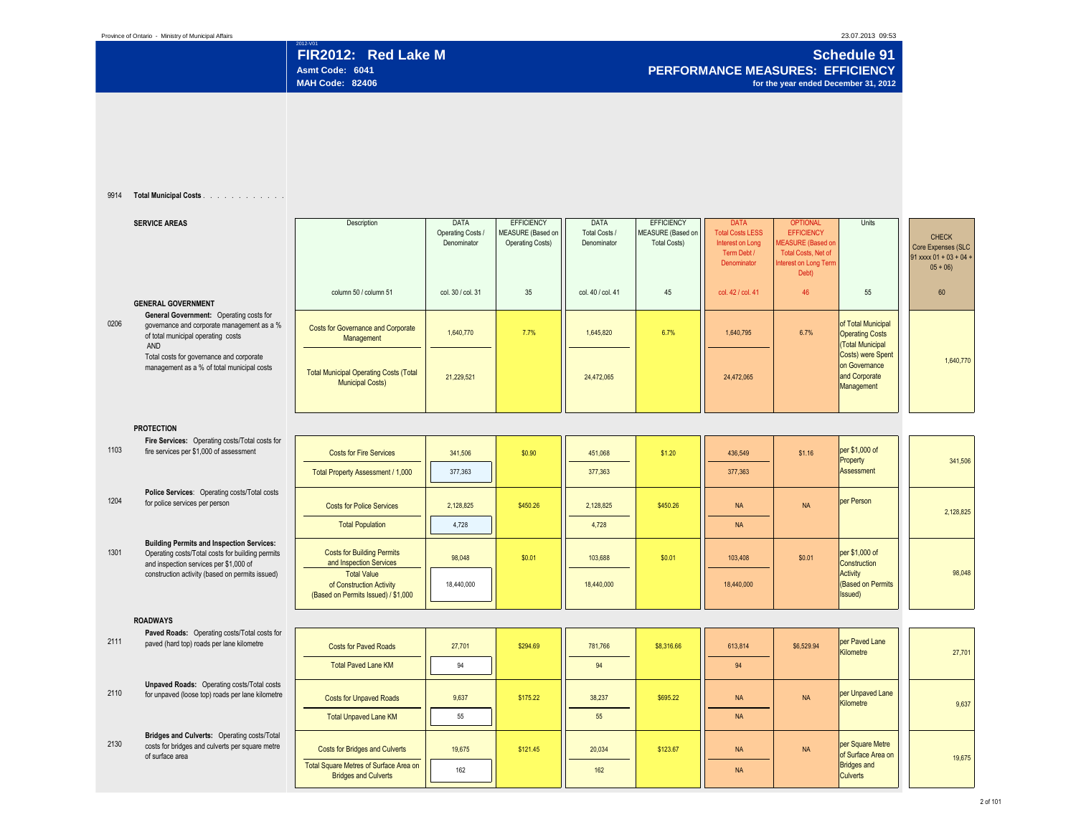2012-V01 **Schedule 91 FIR2012: Red Lake M Schedule 91 PERFORMANCE MEASURES: EFFICIENCY Asmt Code: 6041 PERFORMANCE MEASURES: EFFICIENCY for the year ended December 31, 2012** 

## 9914 **Total Municipal Costs** . . . . . . . . . . . . . . . . . . . . . . . . . . . .

|      | <b>SERVICE AREAS</b>                                                                                                                           | Description                                                                           | <b>DATA</b><br>Operating Costs /<br>Denominator | <b>EFFICIENCY</b><br><b>MEASURE</b> (Based on<br><b>Operating Costs)</b> | <b>DATA</b><br>Total Costs /<br>Denominator | <b>EFFICIENCY</b><br>MEASURE (Based on<br><b>Total Costs)</b> | <b>DATA</b><br><b>Total Costs LESS</b><br>Interest on Long<br>Term Debt /<br>Denominator | <b>OPTIONAL</b><br><b>EFFICIENCY</b><br><b>MEASURE (Based on</b><br><b>Total Costs, Net of</b><br>nterest on Long Term<br>Debt) | Units                                                             | <b>CHECK</b><br>Core Expenses (SLC<br>$91$ xxxx $01 + 03 + 04$<br>$05 + 06$ |
|------|------------------------------------------------------------------------------------------------------------------------------------------------|---------------------------------------------------------------------------------------|-------------------------------------------------|--------------------------------------------------------------------------|---------------------------------------------|---------------------------------------------------------------|------------------------------------------------------------------------------------------|---------------------------------------------------------------------------------------------------------------------------------|-------------------------------------------------------------------|-----------------------------------------------------------------------------|
|      | <b>GENERAL GOVERNMENT</b>                                                                                                                      | column 50 / column 51                                                                 | col. 30 / col. 31                               | 35                                                                       | col. 40 / col. 41                           | 45                                                            | col. 42 / col. 41                                                                        | 46                                                                                                                              | 55                                                                | 60                                                                          |
| 0206 | General Government: Operating costs for<br>governance and corporate management as a %<br>of total municipal operating costs<br>AND             | <b>Costs for Governance and Corporate</b><br>Management                               | 1,640,770                                       | 7.7%                                                                     | 1,645,820                                   | 6.7%                                                          | 1,640,795                                                                                | 6.7%                                                                                                                            | of Total Municipal<br><b>Operating Costs</b><br>(Total Municipal  |                                                                             |
|      | Total costs for governance and corporate<br>management as a % of total municipal costs                                                         | <b>Total Municipal Operating Costs (Total</b><br><b>Municipal Costs)</b>              | 21.229.521                                      |                                                                          | 24,472,065                                  |                                                               | 24,472,065                                                                               |                                                                                                                                 | Costs) were Spent<br>on Governance<br>and Corporate<br>Management | 1,640,770                                                                   |
|      | <b>PROTECTION</b>                                                                                                                              |                                                                                       |                                                 |                                                                          |                                             |                                                               |                                                                                          |                                                                                                                                 |                                                                   |                                                                             |
| 1103 | Fire Services: Operating costs/Total costs for<br>fire services per \$1,000 of assessment                                                      | <b>Costs for Fire Services</b>                                                        | 341.506                                         | \$0.90                                                                   | 451.068                                     | \$1,20                                                        | 436.549                                                                                  | \$1.16                                                                                                                          | per \$1,000 of<br>Property                                        | 341,506                                                                     |
|      |                                                                                                                                                | Total Property Assessment / 1,000                                                     | 377.363                                         |                                                                          | 377,363                                     |                                                               | 377.363                                                                                  |                                                                                                                                 | <b>Assessment</b>                                                 |                                                                             |
| 1204 | Police Services: Operating costs/Total costs<br>for police services per person                                                                 | <b>Costs for Police Services</b>                                                      | 2,128,825                                       | \$450.26                                                                 | 2,128,825                                   | \$450.26                                                      | <b>NA</b>                                                                                | <b>NA</b>                                                                                                                       | per Person                                                        | 2,128,825                                                                   |
|      |                                                                                                                                                | <b>Total Population</b>                                                               | 4,728                                           |                                                                          | 4,728                                       |                                                               | <b>NA</b>                                                                                |                                                                                                                                 |                                                                   |                                                                             |
| 1301 | <b>Building Permits and Inspection Services:</b><br>Operating costs/Total costs for building permits<br>and inspection services per \$1,000 of | <b>Costs for Building Permits</b><br>and Inspection Services                          | 98,048                                          | \$0.01                                                                   | 103,688                                     | \$0.01                                                        | 103,408                                                                                  | \$0.01                                                                                                                          | per \$1,000 of<br>Construction                                    |                                                                             |
|      | construction activity (based on permits issued)                                                                                                | <b>Total Value</b><br>of Construction Activity<br>(Based on Permits Issued) / \$1,000 | 18,440,000                                      |                                                                          | 18,440,000                                  |                                                               | 18,440,000                                                                               |                                                                                                                                 | Activity<br>(Based on Permits<br>Issued)                          | 98,048                                                                      |
|      | <b>ROADWAYS</b>                                                                                                                                |                                                                                       |                                                 |                                                                          |                                             |                                                               |                                                                                          |                                                                                                                                 |                                                                   |                                                                             |
| 2111 | Paved Roads: Operating costs/Total costs for<br>paved (hard top) roads per lane kilometre                                                      | <b>Costs for Paved Roads</b>                                                          | 27,701                                          | \$294.69                                                                 | 781,766                                     | \$8,316.66                                                    | 613,814                                                                                  | \$6,529.94                                                                                                                      | per Paved Lane<br>Kilometre                                       | 27,701                                                                      |
|      |                                                                                                                                                | <b>Total Paved Lane KM</b>                                                            | 94                                              |                                                                          | 94                                          |                                                               | 94                                                                                       |                                                                                                                                 |                                                                   |                                                                             |
| 2110 | <b>Unpaved Roads:</b> Operating costs/Total costs<br>for unpaved (loose top) roads per lane kilometre                                          | <b>Costs for Unpaved Roads</b>                                                        | 9,637                                           | \$175.22                                                                 | 38,237                                      | \$695.22                                                      | <b>NA</b>                                                                                | <b>NA</b>                                                                                                                       | per Unpaved Lane<br>Kilometre                                     | 9,637                                                                       |
|      |                                                                                                                                                | <b>Total Unpaved Lane KM</b>                                                          | 55                                              |                                                                          | 55                                          |                                                               | <b>NA</b>                                                                                |                                                                                                                                 |                                                                   |                                                                             |
| 2130 | Bridges and Culverts: Operating costs/Total<br>costs for bridges and culverts per square metre<br>of surface area                              | <b>Costs for Bridges and Culverts</b>                                                 | 19.675                                          | \$121.45                                                                 | 20,034                                      | \$123.67                                                      | <b>NA</b>                                                                                | <b>NA</b>                                                                                                                       | per Square Metre<br>of Surface Area on                            | 19,675                                                                      |
|      |                                                                                                                                                | Total Square Metres of Surface Area on<br><b>Bridges and Culverts</b>                 | 162                                             |                                                                          | 162                                         |                                                               | <b>NA</b>                                                                                |                                                                                                                                 | <b>Bridges and</b><br><b>Culverts</b>                             |                                                                             |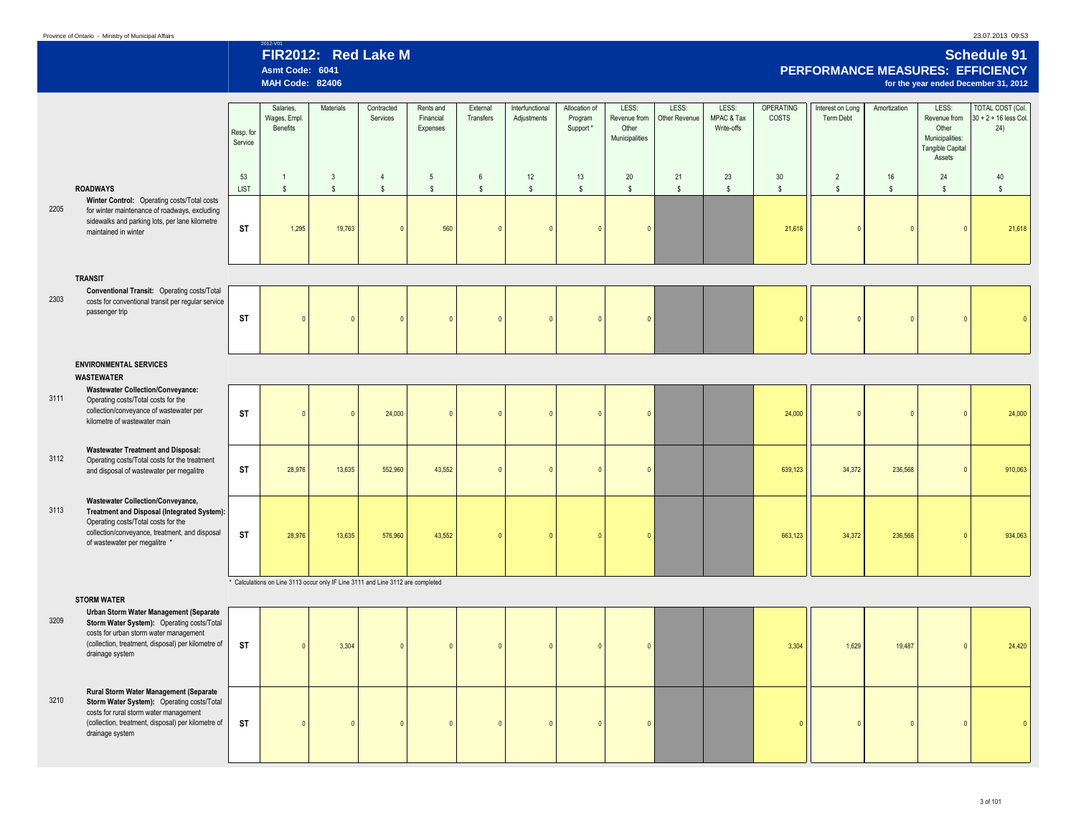2205

2303

3111

3112

3113

3209

3210

(collection, treatment, disposal) per kilometre of

0

**ST**

drainage system

### **ROADWAYS TRANSIT ENVIRONMENTAL SERVICES WASTEWATER STORM WATER Wastewater Collection/Conveyance, Treatment and Disposal (Integrated System):**  Operating costs/Total costs for the collection/conveyance, treatment, and disposal of wastewater per megalitre \* **Wastewater Treatment and Disposal:**  Operating costs/Total costs for the treatment and disposal of wastewater per megalitre **Rural Storm Water Management (Separate Storm Water System): Operating costs/Total** costs for rural storm water management **Winter Control:** Operating costs/Total costs for winter maintenance of roadways, excluding sidewalks and parking lots, per lane kilometre maintained in winter **Conventional Transit:** Operating costs/Total costs for conventional transit per regular service passenger trip **Wastewater Collection/Conveyance:**  Operating costs/Total costs for the collection/conveyance of wastewater per kilometre of wastewater main **Urban Storm Water Management (Separate Storm Water System): Operating costs/Total** costs for urban storm water management (collection, treatment, disposal) per kilometre of drainage system 2012-V01 **FIR2012: Red Lake M Schedule 91 Asmt Code: 6041 PERFORMANCE MEASURES: EFFICIENCY** for the year ended December 31, 2012 Resp. for Service Salaries, Wages, Empl. Benefits Materials Contracted Services Rents and Financial Expenses External Transfers Interfunctional Adjustments Allocation of Program Support \* LESS: Revenue from **Other** Municipalities LESS: Other Revenue LESS: MPAC & Tax Write-offs OPERATING COSTS Interest on Long Term Debt Amortization LESS: Revenue from Other Municipalities: Tangible Capital **Assets** TOTAL COST (Col.  $30 + 2 + 16$  less Col. 24) 53 | 1 | 3 | 4 | 5 | 6 | 12 | 13 | 20 | 21 | 23 | 30 || 2 | 16 | 24 | 40 LIST \$ \$ \$ \$ \$ \$ \$ \$ \$ \$ \$ \$ \$ \$ \$ \* Calculations on Line 3113 occur only IF Line 3111 and Line 3112 are completed **ST | 1,**295 19,763 | 0 | 560 | 0 | 0 | 0 | 0 | 0 | 21,618 | 0 | 0 | 0 | 21,618 0 0 0 0 24,000 **0 0 0 0 24,000** 0 0 0 0  $\Omega$ 0 0 0 0 24,000 13,635 **ST** 0 0 0 0 0 0  $\Omega$ 639,123 0 0 0 0 0 0 43,552 0  $19,763$  0 0 28,976 13,635 552,960 43,552 0 0 0 0 0 0 0 1 34,372 0 **ST** 236,568 0 934,063 910,063 576,960 43,552 663,123  $3,304$  0 0 0 0  $28,976$   $13,635$   $576,960$   $43,552$  0 0 0 0 3,304 0 **ST ST ST** 0 0  $\overline{0}$ 552,960 0 0 236,568 1,629 34,372 19,487 0 0 0 0 21.61 0 0 0 0 24,420

 $\sqrt{2}$ 

0 0 0 0 0

0

0

0

0

3 of 101

0

0

0

0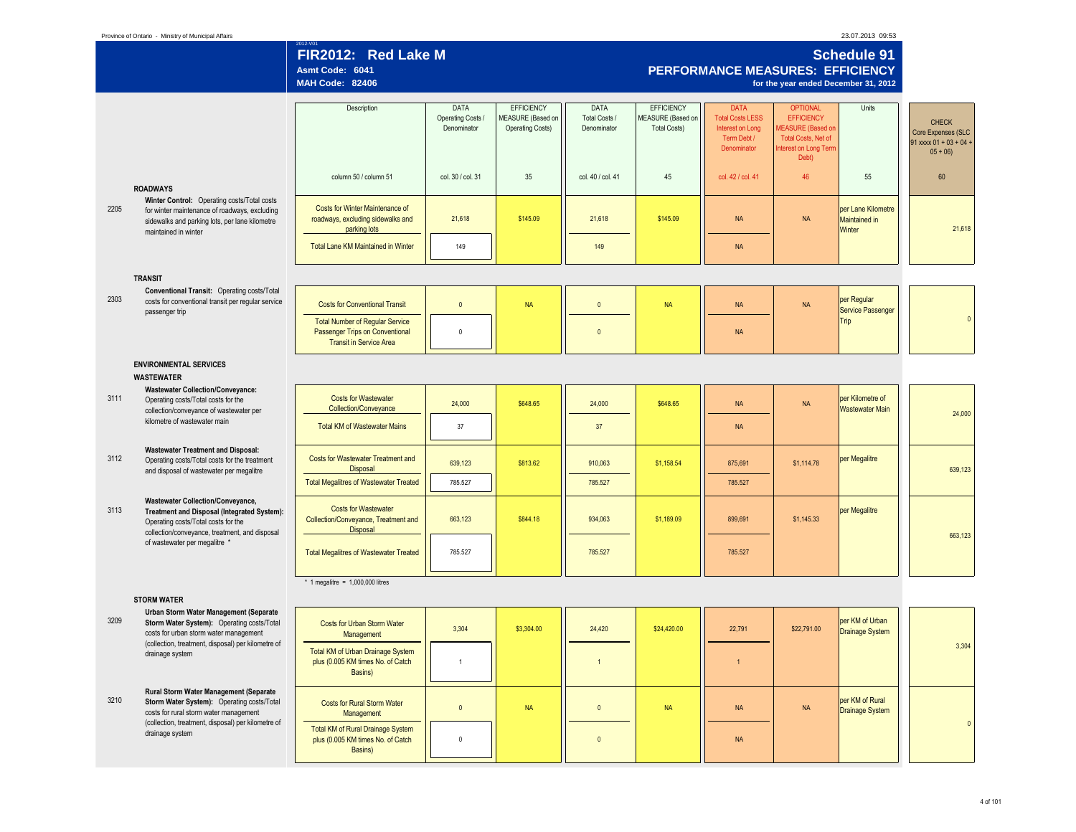|      |                                                                                                                                                                                  | 2012-V01<br>FIR2012: Red Lake M<br>Asmt Code: 6041<br><b>MAH Code: 82406</b>                                |                                                 |                                                                   |                                      |                                                               | <b>PERFORMANCE MEASURES: EFFICIENCY</b>                                                  | for the year ended December 31, 2012                                                                                     | <b>Schedule 91</b>                                   |                                                                             |
|------|----------------------------------------------------------------------------------------------------------------------------------------------------------------------------------|-------------------------------------------------------------------------------------------------------------|-------------------------------------------------|-------------------------------------------------------------------|--------------------------------------|---------------------------------------------------------------|------------------------------------------------------------------------------------------|--------------------------------------------------------------------------------------------------------------------------|------------------------------------------------------|-----------------------------------------------------------------------------|
|      |                                                                                                                                                                                  | Description                                                                                                 | <b>DATA</b><br>Operating Costs /<br>Denominator | <b>EFFICIENCY</b><br>MEASURE (Based on<br><b>Operating Costs)</b> | DATA<br>Total Costs /<br>Denominator | <b>EFFICIENCY</b><br>MEASURE (Based on<br><b>Total Costs)</b> | <b>DATA</b><br><b>Total Costs LESS</b><br>Interest on Long<br>Term Debt /<br>Denominator | <b>OPTIONAL</b><br><b>EFFICIENCY</b><br>MEASURE (Based or<br><b>Total Costs, Net of</b><br>nterest on Long Term<br>Debt) | Units                                                | <b>CHECK</b><br>Core Expenses (SLC<br>91 xxxx $01 + 03 + 04 +$<br>$05 + 06$ |
|      | <b>ROADWAYS</b>                                                                                                                                                                  | column 50 / column 51                                                                                       | col. 30 / col. 31                               | 35                                                                | col. 40 / col. 41                    | 45                                                            | col. 42 / col. 41                                                                        | 46                                                                                                                       | 55                                                   | 60                                                                          |
| 2205 | Winter Control: Operating costs/Total costs<br>for winter maintenance of roadways, excluding<br>sidewalks and parking lots, per lane kilometre<br>maintained in winter           | Costs for Winter Maintenance of<br>roadways, excluding sidewalks and<br>parking lots                        | 21,618                                          | \$145.09                                                          | 21,618                               | \$145.09                                                      | <b>NA</b>                                                                                | NA                                                                                                                       | per Lane Kilometre<br><b>Maintained in</b><br>Winter |                                                                             |
|      |                                                                                                                                                                                  | Total Lane KM Maintained in Winter                                                                          | 149                                             |                                                                   | 149                                  |                                                               | <b>NA</b>                                                                                |                                                                                                                          |                                                      |                                                                             |
|      | <b>TRANSIT</b>                                                                                                                                                                   |                                                                                                             |                                                 |                                                                   |                                      |                                                               |                                                                                          |                                                                                                                          |                                                      |                                                                             |
| 2303 | Conventional Transit: Operating costs/Total<br>costs for conventional transit per regular service<br>passenger trip                                                              | <b>Costs for Conventional Transit</b>                                                                       | $\mathbf{0}$                                    | <b>NA</b>                                                         | $\overline{0}$                       | <b>NA</b>                                                     | <b>NA</b>                                                                                | <b>NA</b>                                                                                                                | per Regular<br><b>Service Passenger</b>              |                                                                             |
|      |                                                                                                                                                                                  | <b>Total Number of Regular Service</b><br>Passenger Trips on Conventional<br><b>Transit in Service Area</b> | $\mathbf{0}$                                    |                                                                   | $\mathbf{0}$                         |                                                               | <b>NA</b>                                                                                |                                                                                                                          | Trip                                                 |                                                                             |
|      | <b>ENVIRONMENTAL SERVICES</b><br><b>WASTEWATER</b>                                                                                                                               |                                                                                                             |                                                 |                                                                   |                                      |                                                               |                                                                                          |                                                                                                                          |                                                      |                                                                             |
| 3111 | <b>Wastewater Collection/Conveyance:</b><br>Operating costs/Total costs for the<br>collection/conveyance of wastewater per                                                       | <b>Costs for Wastewater</b><br>Collection/Convevance                                                        | 24,000                                          | \$648.65                                                          | 24,000                               | \$648.65                                                      | <b>NA</b>                                                                                | $\sf NA$                                                                                                                 | per Kilometre of<br><b>Wastewater Main</b>           |                                                                             |
|      | kilometre of wastewater main                                                                                                                                                     | <b>Total KM of Wastewater Mains</b>                                                                         | 37                                              |                                                                   | 37                                   |                                                               | <b>NA</b>                                                                                |                                                                                                                          |                                                      |                                                                             |
| 3112 | <b>Wastewater Treatment and Disposal:</b><br>Operating costs/Total costs for the treatment<br>and disposal of wastewater per megalitre                                           | Costs for Wastewater Treatment and<br>Disposal                                                              | 639,123                                         | \$813.62                                                          | 910,063                              | \$1,158.54                                                    | 875,691                                                                                  | \$1,114.78                                                                                                               | per Megalitre                                        |                                                                             |
|      |                                                                                                                                                                                  | <b>Total Megalitres of Wastewater Treated</b>                                                               | 785.527                                         |                                                                   | 785.527                              |                                                               | 785.527                                                                                  |                                                                                                                          |                                                      |                                                                             |
| 3113 | <b>Wastewater Collection/Conveyance,</b><br>Treatment and Disposal (Integrated System):<br>Operating costs/Total costs for the<br>collection/conveyance, treatment, and disposal | <b>Costs for Wastewater</b><br>Collection/Conveyance, Treatment and<br>Disposal                             | 663,123                                         | \$844.18                                                          | 934,063                              | \$1,189.09                                                    | 899,691                                                                                  | \$1,145.33                                                                                                               | per Megalitre                                        |                                                                             |
|      | of wastewater per megalitre *                                                                                                                                                    | <b>Total Megalitres of Wastewater Treated</b>                                                               | 785.527                                         |                                                                   | 785.527                              |                                                               | 785.527                                                                                  |                                                                                                                          |                                                      |                                                                             |
|      |                                                                                                                                                                                  | * 1 megalitre = $1,000,000$ litres                                                                          |                                                 |                                                                   |                                      |                                                               |                                                                                          |                                                                                                                          |                                                      |                                                                             |
|      | <b>STORM WATER</b><br>Urban Storm Water Management (Separate                                                                                                                     |                                                                                                             |                                                 |                                                                   |                                      |                                                               |                                                                                          |                                                                                                                          |                                                      |                                                                             |
| 3209 | Storm Water System): Operating costs/Total<br>costs for urban storm water management<br>(collection, treatment, disposal) per kilometre of                                       | Costs for Urban Storm Water<br>Management                                                                   | 3,304                                           | \$3,304.00                                                        | 24,420                               | \$24,420.00                                                   | 22,791                                                                                   | \$22,791.00                                                                                                              | per KM of Urban<br>Drainage System                   |                                                                             |
|      | drainage system                                                                                                                                                                  | Total KM of Urban Drainage System<br>plus (0.005 KM times No. of Catch<br>Basins)                           | $\overline{1}$                                  |                                                                   | $\overline{1}$                       |                                                               |                                                                                          |                                                                                                                          |                                                      |                                                                             |
| 3210 | Rural Storm Water Management (Separate<br>Storm Water System): Operating costs/Total<br>costs for rural storm water management                                                   | Costs for Rural Storm Water<br>Management                                                                   | $\mathbf{0}$                                    | <b>NA</b>                                                         | $\mathbf{0}$                         | <b>NA</b>                                                     | <b>NA</b>                                                                                | NA                                                                                                                       | per KM of Rural<br>Drainage System                   |                                                                             |
|      | (collection, treatment, disposal) per kilometre of<br>drainage system                                                                                                            | Total KM of Rural Drainage System<br>plus (0.005 KM times No. of Catch<br>Basins)                           | $\pmb{0}$                                       |                                                                   | $\overline{0}$                       |                                                               | <b>NA</b>                                                                                |                                                                                                                          |                                                      |                                                                             |

23.07.2013 09:53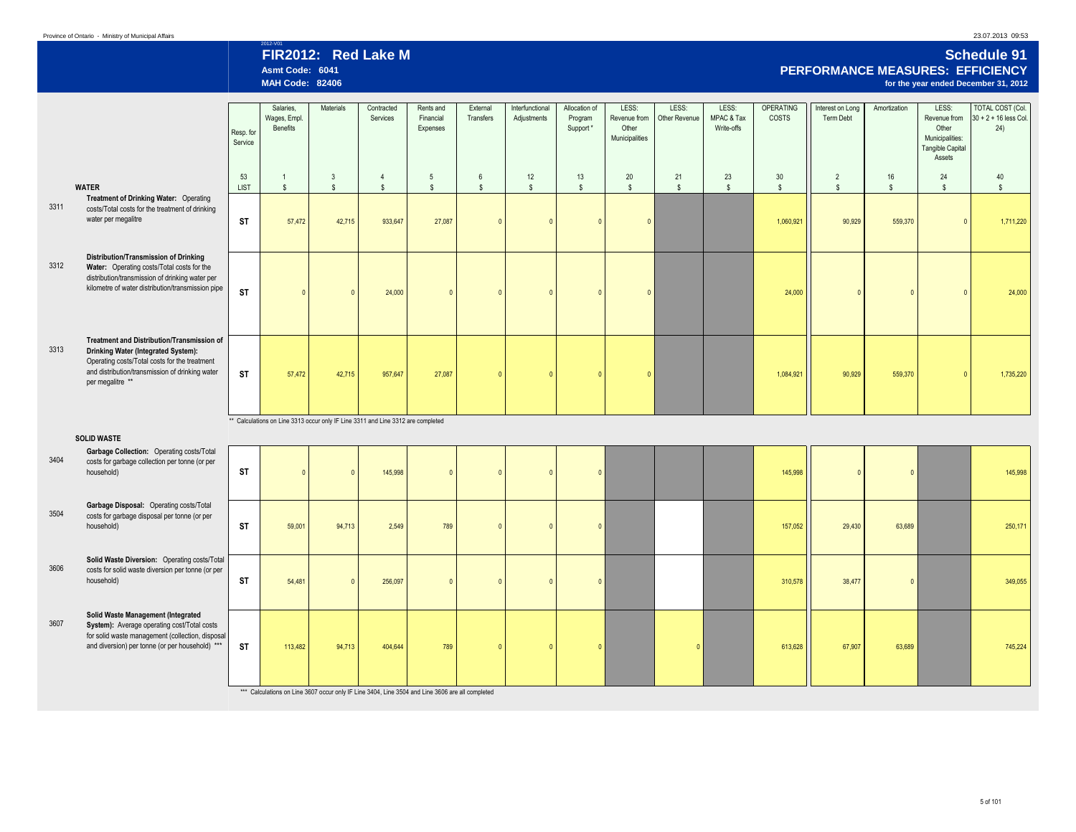## 23.07.2013 09:53

# 2012-V01 **FIR2012: Red Lake M Schedule 91 Asmt Code: 6041 PERFORMANCE MEASURES: EFFICIENCY**

|      |                                                                                                                                                                                                           |                      | <b>MAH Code: 82406</b>                                                           |                              |                                |                                    |                                 |                                |                                      |                                                  |                        |                                   |                           |                                |                    |                                                                                 | for the year ended December 31, 2012                      |
|------|-----------------------------------------------------------------------------------------------------------------------------------------------------------------------------------------------------------|----------------------|----------------------------------------------------------------------------------|------------------------------|--------------------------------|------------------------------------|---------------------------------|--------------------------------|--------------------------------------|--------------------------------------------------|------------------------|-----------------------------------|---------------------------|--------------------------------|--------------------|---------------------------------------------------------------------------------|-----------------------------------------------------------|
|      |                                                                                                                                                                                                           | Resp. for<br>Service | Salaries,<br>Wages, Empl.<br>Benefits                                            | Materials                    | Contracted<br>Services         | Rents and<br>Financial<br>Expenses | External<br>Transfers           | Interfunctional<br>Adjustments | Allocation of<br>Program<br>Support* | LESS:<br>Revenue from<br>Other<br>Municipalities | LESS:<br>Other Revenue | LESS:<br>MPAC & Tax<br>Write-offs | <b>OPERATING</b><br>COSTS | Interest on Long<br>Term Debt  | Amortization       | LESS:<br>Revenue from<br>Other<br>Municipalities:<br>Tangible Capital<br>Assets | <b>TOTAL COST (Col.</b><br>$30 + 2 + 16$ less Col.<br>24) |
|      | <b>WATER</b>                                                                                                                                                                                              | 53<br><b>LIST</b>    | $\mathbf{1}$<br>$\mathbb{S}$                                                     | $\mathbf{3}$<br>$\mathsf{s}$ | $\overline{4}$<br>$\mathsf{s}$ | $\sqrt{5}$<br>$\mathsf{s}$         | $6\phantom{.}6$<br>$\mathsf{s}$ | 12<br>$\mathsf{s}$             | 13<br>$\mathsf{s}$                   | $20\degree$<br>$\mathsf{s}$                      | 21<br>$\mathsf{s}$     | 23<br>$\mathsf{s}$                | 30<br>$\mathsf{s}$        | $\overline{2}$<br>$\mathsf{s}$ | 16<br>$\mathsf{s}$ | 24<br>$\mathsf{s}$                                                              | $40\,$<br>$\mathsf{s}$                                    |
| 3311 | Treatment of Drinking Water: Operating<br>costs/Total costs for the treatment of drinking<br>water per megalitre                                                                                          | <b>ST</b>            | 57,472                                                                           | 42,715                       | 933,647                        | 27,087                             | $\mathbf{0}$                    | $\Omega$                       | $\mathbf{0}$                         | $\sqrt{2}$                                       |                        |                                   | 1,060,921                 | 90,929                         | 559,370            | $\sqrt{2}$                                                                      | 1,711,220                                                 |
| 3312 | Distribution/Transmission of Drinking<br>Water: Operating costs/Total costs for the<br>distribution/transmission of drinking water per<br>kilometre of water distribution/transmission pipe               | <b>ST</b>            |                                                                                  |                              | 24,000                         |                                    | $\sqrt{2}$                      |                                | $\sqrt{2}$                           | $\sqrt{2}$                                       |                        |                                   | 24,000                    | $\sqrt{2}$                     | $\sqrt{2}$         | $\sqrt{2}$                                                                      | 24,000                                                    |
| 3313 | Treatment and Distribution/Transmission of<br>Drinking Water (Integrated System):<br>Operating costs/Total costs for the treatment<br>and distribution/transmission of drinking water<br>per megalitre ** | <b>ST</b>            | 57,472                                                                           | 42,715                       | 957,647                        | 27,087                             | $\mathbf{0}$                    |                                | $\mathbf{0}$                         | $\Omega$                                         |                        |                                   | 1,084,921                 | 90,929                         | 559,370            | $\sqrt{ }$                                                                      | 1,735,220                                                 |
|      |                                                                                                                                                                                                           |                      | ** Calculations on Line 3313 occur only IF Line 3311 and Line 3312 are completed |                              |                                |                                    |                                 |                                |                                      |                                                  |                        |                                   |                           |                                |                    |                                                                                 |                                                           |
| 3404 | <b>SOLID WASTE</b><br>Garbage Collection: Operating costs/Total<br>costs for garbage collection per tonne (or per<br>household)                                                                           | <b>ST</b>            |                                                                                  |                              | 145,998                        |                                    | $\mathbf{0}$                    |                                | $\Omega$                             |                                                  |                        |                                   | 145,998                   | $\Omega$                       | $\overline{0}$     |                                                                                 | 145,998                                                   |
| 3504 | Garbage Disposal: Operating costs/Total<br>costs for garbage disposal per tonne (or per<br>household)                                                                                                     | <b>ST</b>            | 59,001                                                                           | 94,713                       | 2,549                          | 789                                | $\mathbf{0}$                    | $\Omega$                       | $\overline{0}$                       |                                                  |                        |                                   | 157,052                   | 29,430                         | 63,689             |                                                                                 | 250,171                                                   |
| 3606 | Solid Waste Diversion: Operating costs/Total<br>costs for solid waste diversion per tonne (or per<br>household)                                                                                           | <b>ST</b>            | 54,481                                                                           |                              | 256,097                        | $\Omega$                           | $\mathbf{0}$                    | $\Omega$                       | $\mathbf{0}$                         |                                                  |                        |                                   | 310,578                   | 38,477                         | $\overline{0}$     |                                                                                 | 349,055                                                   |
| 3607 | Solid Waste Management (Integrated<br>System): Average operating cost/Total costs<br>for solid waste management (collection, disposal<br>and diversion) per tonne (or per household) ***                  | <b>ST</b>            | 113,482                                                                          | 94,713                       | 404,644                        | 789                                | $\overline{0}$                  | $\Omega$                       | $\overline{0}$                       |                                                  | $\overline{0}$         |                                   | 613,628                   | 67,907                         | 63,689             |                                                                                 | 745,224                                                   |

\*\*\* Calculations on Line 3607 occur only IF Line 3404, Line 3504 and Line 3606 are all completed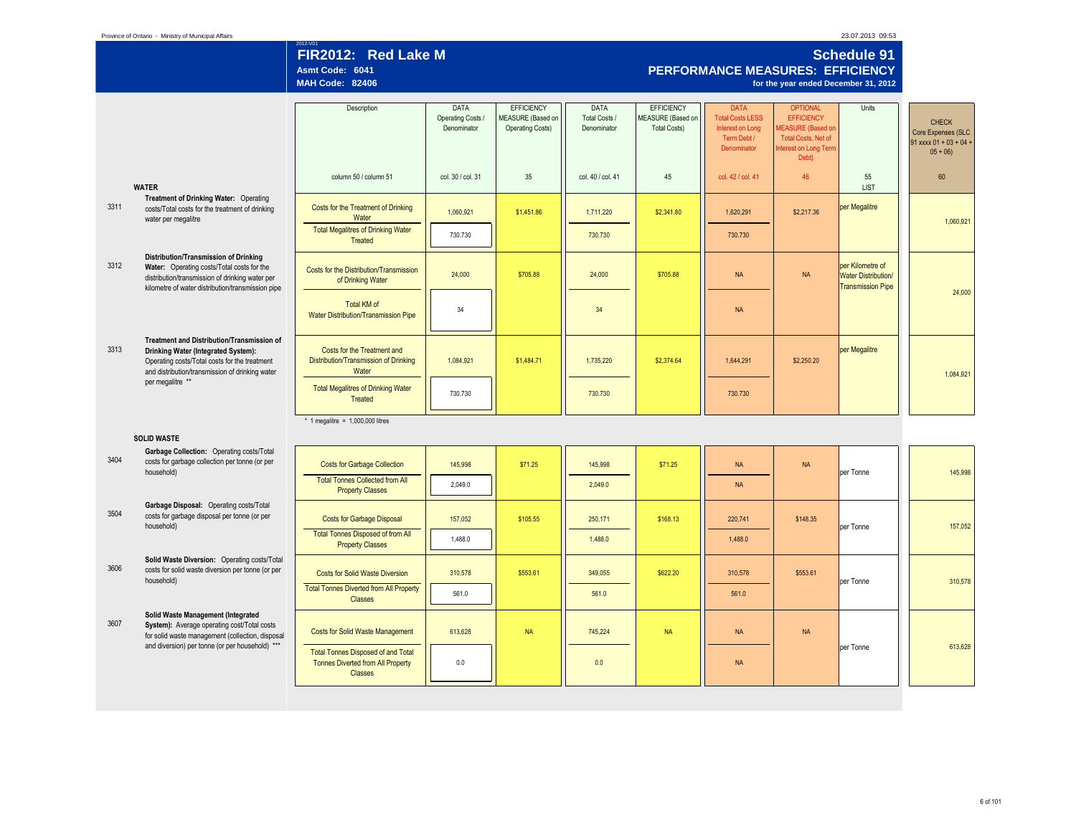| Province of Ontario - Ministry of Municipal Affairs |  |
|-----------------------------------------------------|--|
|-----------------------------------------------------|--|

23.07.2013 09:53

## 2012-V01 **Schedule 91 FIR2012: Red Lake M Schedule 91 PERFORMANCE MEASURES: EFFICIENCY Asmt Code: 6041 PERFORMANCE MEASURES: EFFICIENCY for the year ended December 31, 2012**

|      |                                                                                                   | Description                                                | <b>DATA</b><br>Operating Costs / | <b>EFFICIENCY</b><br>MEASURE (Based on | <b>DATA</b><br>Total Costs / | <b>EFFICIENCY</b><br>MEASURE (Based on | <b>DATA</b><br><b>Total Costs LESS</b> | <b>OPTIONAL</b><br><b>EFFICIENCY</b> | Units                                                  |                                    |
|------|---------------------------------------------------------------------------------------------------|------------------------------------------------------------|----------------------------------|----------------------------------------|------------------------------|----------------------------------------|----------------------------------------|--------------------------------------|--------------------------------------------------------|------------------------------------|
|      |                                                                                                   |                                                            | Denominator                      | <b>Operating Costs)</b>                | Denominator                  | <b>Total Costs)</b>                    | Interest on Long                       | MEASURE (Based on                    |                                                        | <b>CHECK</b><br>Core Expenses (SLC |
|      |                                                                                                   |                                                            |                                  |                                        |                              |                                        | Term Debt /                            | <b>Total Costs, Net of</b>           |                                                        | 91 xxxx 01 + 03 + 04 +             |
|      |                                                                                                   |                                                            |                                  |                                        |                              |                                        | Denominator                            | nterest on Long Term<br>Debt)        |                                                        | $05 + 06$                          |
|      |                                                                                                   |                                                            |                                  |                                        |                              |                                        |                                        |                                      |                                                        |                                    |
|      | <b>WATER</b>                                                                                      | column 50 / column 51                                      | col. 30 / col. 31                | 35                                     | col. 40 / col. 41            | 45                                     | col. 42 / col. 41                      | 46                                   | 55<br><b>LIST</b>                                      | 60                                 |
|      | Treatment of Drinking Water: Operating                                                            |                                                            |                                  |                                        |                              |                                        |                                        |                                      |                                                        |                                    |
| 3311 | costs/Total costs for the treatment of drinking                                                   | Costs for the Treatment of Drinking                        | 1,060,921                        | \$1,451.86                             | 1,711,220                    | \$2,341.80                             | 1,620,291                              | \$2,217.36                           | per Megalitre                                          |                                    |
|      | water per megalitre                                                                               | Water<br><b>Total Megalitres of Drinking Water</b>         |                                  |                                        |                              |                                        |                                        |                                      |                                                        | 1,060,921                          |
|      |                                                                                                   | Treated                                                    | 730.730                          |                                        | 730,730                      |                                        | 730.730                                |                                      |                                                        |                                    |
|      | Distribution/Transmission of Drinking                                                             |                                                            |                                  |                                        |                              |                                        |                                        |                                      |                                                        |                                    |
| 3312 | Water: Operating costs/Total costs for the                                                        | Costs for the Distribution/Transmission                    |                                  |                                        |                              |                                        |                                        |                                      | per Kilometre of                                       |                                    |
|      | distribution/transmission of drinking water per                                                   | of Drinking Water                                          | 24,000                           | \$705.88                               | 24,000                       | \$705.88                               | <b>NA</b>                              | <b>NA</b>                            | <b>Water Distribution/</b><br><b>Transmission Pipe</b> |                                    |
|      | kilometre of water distribution/transmission pipe                                                 |                                                            |                                  |                                        |                              |                                        |                                        |                                      |                                                        | 24,000                             |
|      |                                                                                                   | <b>Total KM of</b><br>Water Distribution/Transmission Pipe | 34                               |                                        | 34                           |                                        | <b>NA</b>                              |                                      |                                                        |                                    |
|      |                                                                                                   |                                                            |                                  |                                        |                              |                                        |                                        |                                      |                                                        |                                    |
|      | Treatment and Distribution/Transmission of                                                        |                                                            |                                  |                                        |                              |                                        |                                        |                                      |                                                        |                                    |
| 3313 | Drinking Water (Integrated System):                                                               | Costs for the Treatment and                                |                                  |                                        |                              |                                        |                                        |                                      | per Megalitre                                          |                                    |
|      | Operating costs/Total costs for the treatment<br>and distribution/transmission of drinking water  | Distribution/Transmission of Drinking<br>Water             | 1,084,921                        | \$1,484.71                             | 1,735,220                    | \$2,374.64                             | 1,644,291                              | \$2,250.20                           |                                                        |                                    |
|      | per megalitre **                                                                                  |                                                            |                                  |                                        |                              |                                        |                                        |                                      |                                                        | 1,084,921                          |
|      |                                                                                                   | <b>Total Megalitres of Drinking Water</b><br>Treated       | 730.730                          |                                        | 730,730                      |                                        | 730.730                                |                                      |                                                        |                                    |
|      |                                                                                                   |                                                            |                                  |                                        |                              |                                        |                                        |                                      |                                                        |                                    |
|      |                                                                                                   | * 1 megalitre = $1,000,000$ litres                         |                                  |                                        |                              |                                        |                                        |                                      |                                                        |                                    |
|      | <b>SOLID WASTE</b>                                                                                |                                                            |                                  |                                        |                              |                                        |                                        |                                      |                                                        |                                    |
|      | Garbage Collection: Operating costs/Total                                                         |                                                            |                                  |                                        |                              |                                        |                                        |                                      |                                                        |                                    |
| 3404 | costs for garbage collection per tonne (or per                                                    | <b>Costs for Garbage Collection</b>                        | 145,998                          | \$71.25                                | 145,998                      | \$71.25                                | <b>NA</b>                              | <b>NA</b>                            |                                                        |                                    |
|      | household)                                                                                        | <b>Total Tonnes Collected from All</b>                     | 2.049.0                          |                                        | 2,049.0                      |                                        | <b>NA</b>                              |                                      | per Tonne                                              | 145,998                            |
|      |                                                                                                   | <b>Property Classes</b>                                    |                                  |                                        |                              |                                        |                                        |                                      |                                                        |                                    |
| 3504 | Garbage Disposal: Operating costs/Total                                                           |                                                            |                                  |                                        |                              |                                        |                                        |                                      |                                                        |                                    |
|      | costs for garbage disposal per tonne (or per<br>household)                                        | <b>Costs for Garbage Disposal</b>                          | 157,052                          | \$105.55                               | 250,171                      | \$168.13                               | 220.741                                | \$148.35                             | per Tonne                                              | 157,052                            |
|      |                                                                                                   | <b>Total Tonnes Disposed of from All</b>                   | 1,488.0                          |                                        | 1,488.0                      |                                        | 1,488.0                                |                                      |                                                        |                                    |
|      |                                                                                                   | <b>Property Classes</b>                                    |                                  |                                        |                              |                                        |                                        |                                      |                                                        |                                    |
| 3606 | Solid Waste Diversion: Operating costs/Total<br>costs for solid waste diversion per tonne (or per |                                                            |                                  |                                        |                              |                                        |                                        |                                      |                                                        |                                    |
|      | household)                                                                                        | <b>Costs for Solid Waste Diversion</b>                     | 310,578                          | \$553.61                               | 349.055                      | \$622.20                               | 310.578                                | \$553.61                             | per Tonne                                              | 310,578                            |
|      |                                                                                                   | <b>Total Tonnes Diverted from All Property</b>             | 561.0                            |                                        | 561.0                        |                                        | 561.0                                  |                                      |                                                        |                                    |
|      |                                                                                                   | <b>Classes</b>                                             |                                  |                                        |                              |                                        |                                        |                                      |                                                        |                                    |
| 3607 | Solid Waste Management (Integrated<br>System): Average operating cost/Total costs                 |                                                            |                                  |                                        |                              |                                        |                                        |                                      |                                                        |                                    |
|      | for solid waste management (collection, disposal                                                  | <b>Costs for Solid Waste Management</b>                    | 613,628                          | <b>NA</b>                              | 745,224                      | <b>NA</b>                              | <b>NA</b>                              | <b>NA</b>                            |                                                        |                                    |
|      | and diversion) per tonne (or per household) ***                                                   | <b>Total Tonnes Disposed of and Total</b>                  |                                  |                                        |                              |                                        |                                        |                                      | per Tonne                                              | 613,628                            |
|      |                                                                                                   | <b>Tonnes Diverted from All Property</b>                   | 0.0                              |                                        | 0.0                          |                                        | <b>NA</b>                              |                                      |                                                        |                                    |
|      |                                                                                                   | Classes                                                    |                                  |                                        |                              |                                        |                                        |                                      |                                                        |                                    |
|      |                                                                                                   |                                                            |                                  |                                        |                              |                                        |                                        |                                      |                                                        |                                    |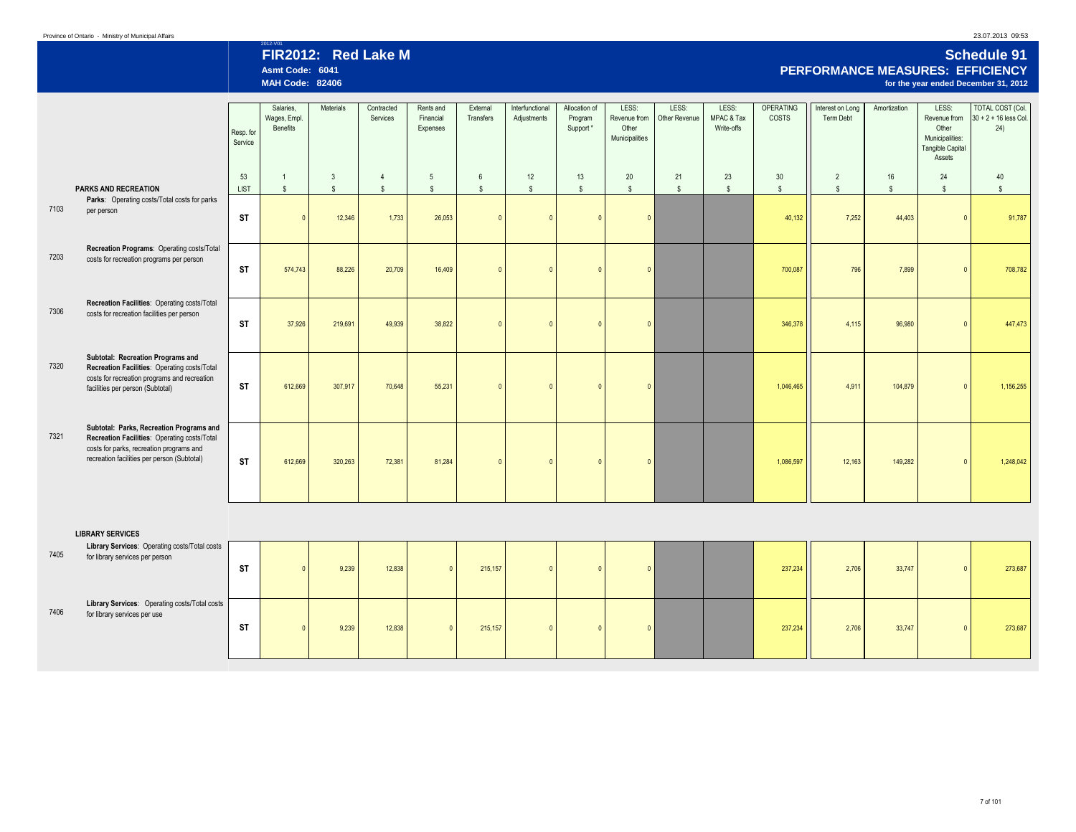# 2012-V01 **FIR2012: Red Lake M Schedule 91 Asmt Code: 6041 PERFORMANCE MEASURES: EFFICIENCY MAH Code: 82406 for the year ended December 31, 2012**

|      |                                                                                                                                                                                     | Resp. for<br>Service | Salaries,<br>Wages, Empl.<br>Benefits | Materials    | Contracted<br>Services | Rents and<br>Financial<br>Expenses | External<br>Transfers | Interfunctional<br>Adjustments | Allocation of<br>Program<br>Support* | LESS:<br>Revenue from<br>Other<br>Municipalities | LESS:<br>Other Revenue | LESS:<br>MPAC & Tax<br>Write-offs | <b>OPERATING</b><br><b>COSTS</b> | Interest on Long<br>Term Debt | Amortization | LESS:<br>Revenue from<br>Other<br>Municipalities:<br>Tangible Capital<br>Assets | TOTAL COST (Col.<br>$30 + 2 + 16$ less Col.<br>24) |
|------|-------------------------------------------------------------------------------------------------------------------------------------------------------------------------------------|----------------------|---------------------------------------|--------------|------------------------|------------------------------------|-----------------------|--------------------------------|--------------------------------------|--------------------------------------------------|------------------------|-----------------------------------|----------------------------------|-------------------------------|--------------|---------------------------------------------------------------------------------|----------------------------------------------------|
|      |                                                                                                                                                                                     | 53                   | $\overline{1}$                        | 3            | $\overline{4}$         | 5                                  | 6                     | 12                             | 13                                   | 20                                               | 21                     | 23                                | 30                               | $\overline{2}$                | 16           | 24                                                                              | 40                                                 |
|      | <b>PARKS AND RECREATION</b>                                                                                                                                                         | LIST                 | $$\mathbb{S}$$                        | $\mathsf{s}$ | $\mathbf{s}$           | $\mathbb{S}$                       | <sub>S</sub>          | $\mathsf{s}$                   | $\mathbf{s}$                         | $$\mathbb{S}$$                                   | $\mathbb{S}$           | $\mathbb{S}$                      | $\mathbf{s}$                     | $$\mathbb{S}$$                | s.           | $\mathbb{S}$                                                                    | $\mathsf{s}$                                       |
| 7103 | Parks: Operating costs/Total costs for parks<br>per person                                                                                                                          | <b>ST</b>            |                                       | 12,346       | 1,733                  | 26,053                             | $\sqrt{ }$            |                                | $\sqrt{ }$                           | $\sqrt{ }$                                       |                        |                                   | 40,132                           | 7,252                         | 44,403       |                                                                                 | 91,787                                             |
| 7203 | Recreation Programs: Operating costs/Total<br>costs for recreation programs per person                                                                                              | <b>ST</b>            | 574,743                               | 88,226       | 20,709                 | 16,409                             | $\sqrt{ }$            |                                |                                      |                                                  |                        |                                   | 700,087                          | 796                           | 7,899        |                                                                                 | 708,782                                            |
| 7306 | Recreation Facilities: Operating costs/Total<br>costs for recreation facilities per person                                                                                          | <b>ST</b>            | 37,926                                | 219,691      | 49,939                 | 38,822                             | $\sqrt{ }$            |                                |                                      |                                                  |                        |                                   | 346,378                          | 4,115                         | 96,980       |                                                                                 | 447,473                                            |
| 7320 | Subtotal: Recreation Programs and<br>Recreation Facilities: Operating costs/Total<br>costs for recreation programs and recreation<br>facilities per person (Subtotal)               | ST                   | 612,669                               | 307,917      | 70,648                 | 55,231                             | $\sqrt{ }$            |                                |                                      |                                                  |                        |                                   | 1,046,465                        | 4,911                         | 104,879      |                                                                                 | 1,156,255                                          |
| 7321 | Subtotal: Parks, Recreation Programs and<br>Recreation Facilities: Operating costs/Total<br>costs for parks, recreation programs and<br>recreation facilities per person (Subtotal) | <b>ST</b>            | 612,669                               | 320,263      | 72,381                 | 81,284                             | $\sqrt{ }$            |                                |                                      |                                                  |                        |                                   | 1.086.597                        | 12,163                        | 149,282      |                                                                                 | 1,248,042                                          |

|      | <b>LIBRARY SERVICES</b>                                                          |           |       |        |         |  |  |         |       |        |  |         |
|------|----------------------------------------------------------------------------------|-----------|-------|--------|---------|--|--|---------|-------|--------|--|---------|
| 7405 | Library Services: Operating costs/Total costs<br>for library services per person | <b>ST</b> | 9,239 | 12,838 | 215,157 |  |  | 237,234 | 2,706 | 33,747 |  | 273,687 |
|      |                                                                                  |           |       |        |         |  |  |         |       |        |  |         |
| 7406 | Library Services: Operating costs/Total costs<br>for library services per use    | ST        | 9,239 | 12,838 | 215,157 |  |  | 237,234 | 2.706 | 33,747 |  | 273,687 |